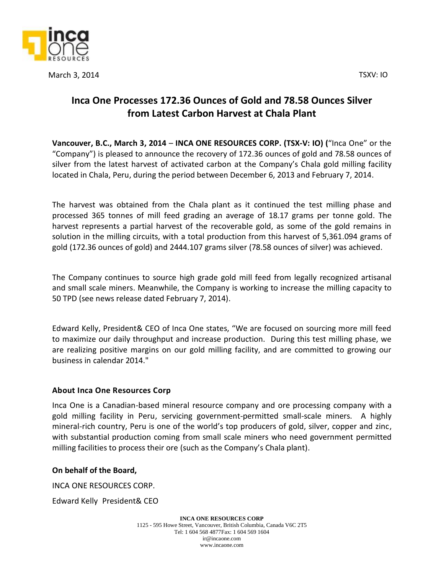



March 3, 2014 TSXV: IO

## **Inca One Processes 172.36 Ounces of Gold and 78.58 Ounces Silver from Latest Carbon Harvest at Chala Plant**

**Vancouver, B.C., March 3, 2014** – **INCA ONE RESOURCES CORP. (TSX‐V: IO) (**"Inca One" or the "Company") is pleased to announce the recovery of 172.36 ounces of gold and 78.58 ounces of silver from the latest harvest of activated carbon at the Company's Chala gold milling facility located in Chala, Peru, during the period between December 6, 2013 and February 7, 2014.

The harvest was obtained from the Chala plant as it continued the test milling phase and processed 365 tonnes of mill feed grading an average of 18.17 grams per tonne gold. The harvest represents a partial harvest of the recoverable gold, as some of the gold remains in solution in the milling circuits, with a total production from this harvest of 5,361.094 grams of gold (172.36 ounces of gold) and 2444.107 grams silver (78.58 ounces of silver) was achieved.

The Company continues to source high grade gold mill feed from legally recognized artisanal and small scale miners. Meanwhile, the Company is working to increase the milling capacity to 50 TPD (see news release dated February 7, 2014).

Edward Kelly, President& CEO of Inca One states, "We are focused on sourcing more mill feed to maximize our daily throughput and increase production. During this test milling phase, we are realizing positive margins on our gold milling facility, and are committed to growing our business in calendar 2014."

## **About Inca One Resources Corp**

Inca One is a Canadian-based mineral resource company and ore processing company with a gold milling facility in Peru, servicing government-permitted small-scale miners. A highly mineral-rich country, Peru is one of the world's top producers of gold, silver, copper and zinc, with substantial production coming from small scale miners who need government permitted milling facilities to process their ore (such as the Company's Chala plant).

## **On behalf of the Board,**

INCA ONE RESOURCES CORP.

Edward Kelly President& CEO

**INCA ONE RESOURCES CORP** 1125 - 595 Howe Street, Vancouver, British Columbia, Canada V6C 2T5 Tel: 1 604 568 4877Fax: 1 604 569 1604 ir@incaone.com www.incaone.com